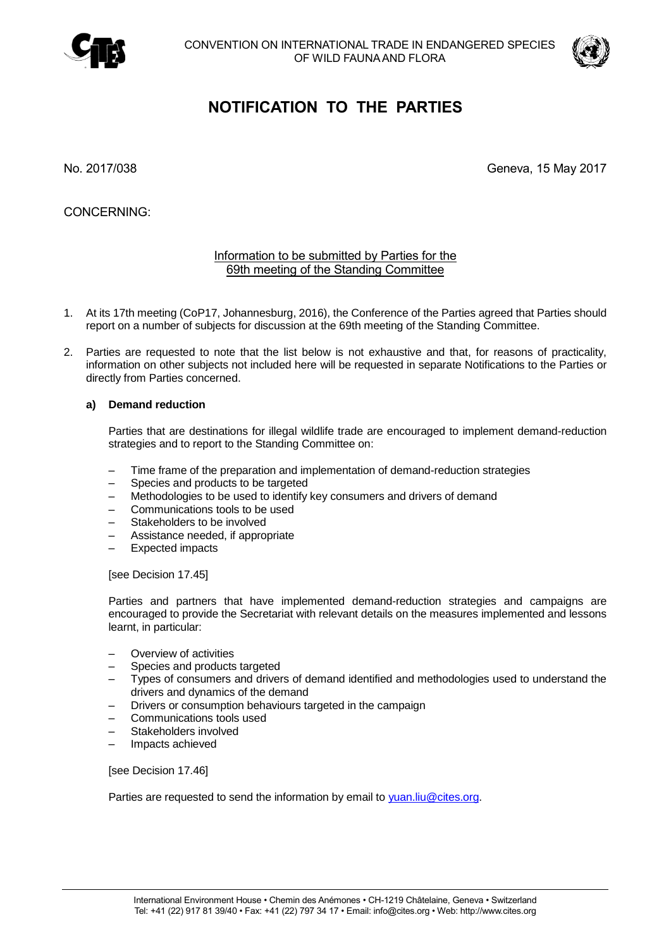



# **NOTIFICATION TO THE PARTIES**

No. 2017/038 Geneva, 15 May 2017

CONCERNING:

## Information to be submitted by Parties for the 69th meeting of the Standing Committee

- 1. At its 17th meeting (CoP17, Johannesburg, 2016), the Conference of the Parties agreed that Parties should report on a number of subjects for discussion at the 69th meeting of the Standing Committee.
- 2. Parties are requested to note that the list below is not exhaustive and that, for reasons of practicality, information on other subjects not included here will be requested in separate Notifications to the Parties or directly from Parties concerned.

## **a) Demand reduction**

Parties that are destinations for illegal wildlife trade are encouraged to implement demand-reduction strategies and to report to the Standing Committee on:

- Time frame of the preparation and implementation of demand-reduction strategies
- Species and products to be targeted
- Methodologies to be used to identify key consumers and drivers of demand
- Communications tools to be used
- Stakeholders to be involved
- Assistance needed, if appropriate
- Expected impacts

[see Decision 17.45]

Parties and partners that have implemented demand-reduction strategies and campaigns are encouraged to provide the Secretariat with relevant details on the measures implemented and lessons learnt, in particular:

- Overview of activities
- Species and products targeted
- Types of consumers and drivers of demand identified and methodologies used to understand the drivers and dynamics of the demand
- Drivers or consumption behaviours targeted in the campaign
- Communications tools used
- Stakeholders involved
- Impacts achieved

[see Decision 17.46]

Parties are requested to send the information by email to [yuan.liu@cites.org.](mailto:yuan.liu@cites.org)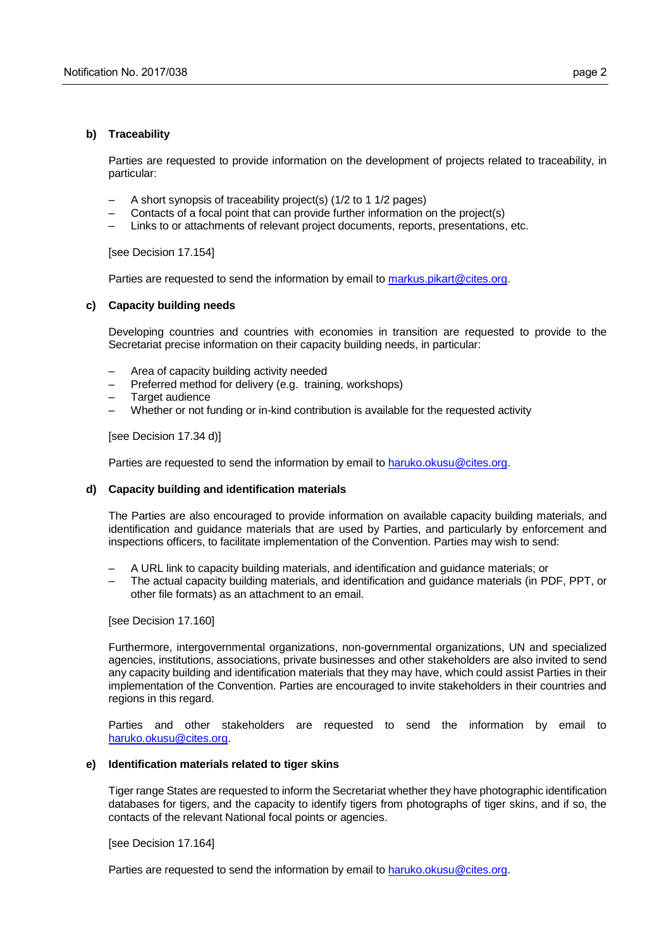#### **b) Traceability**

Parties are requested to provide information on the development of projects related to traceability, in particular:

- A short synopsis of traceability project(s) (1/2 to 1 1/2 pages)
- Contacts of a focal point that can provide further information on the project(s)
- Links to or attachments of relevant project documents, reports, presentations, etc.

[see Decision 17.154]

Parties are requested to send the information by email to [markus.pikart@cites.org.](mailto:markus.pikart@cites.org)

### **c) Capacity building needs**

Developing countries and countries with economies in transition are requested to provide to the Secretariat precise information on their capacity building needs, in particular:

- Area of capacity building activity needed
- Preferred method for delivery (e.g. training, workshops)
- Target audience
- Whether or not funding or in-kind contribution is available for the requested activity

[see Decision 17.34 d)]

Parties are requested to send the information by email to [haruko.okusu@cites.org.](mailto:haruko.okusu@cites.org)

## **d) Capacity building and identification materials**

The Parties are also encouraged to provide information on available capacity building materials, and identification and guidance materials that are used by Parties, and particularly by enforcement and inspections officers, to facilitate implementation of the Convention. Parties may wish to send:

- A URL link to capacity building materials, and identification and guidance materials; or
- The actual capacity building materials, and identification and guidance materials (in PDF, PPT, or other file formats) as an attachment to an email.

[see Decision 17.160]

Furthermore, intergovernmental organizations, non-governmental organizations, UN and specialized agencies, institutions, associations, private businesses and other stakeholders are also invited to send any capacity building and identification materials that they may have, which could assist Parties in their implementation of the Convention. Parties are encouraged to invite stakeholders in their countries and regions in this regard.

Parties and other stakeholders are requested to send the information by email to [haruko.okusu@cites.org.](mailto:haruko.okusu@cites.org)

#### **e) Identification materials related to tiger skins**

Tiger range States are requested to inform the Secretariat whether they have photographic identification databases for tigers, and the capacity to identify tigers from photographs of tiger skins, and if so, the contacts of the relevant National focal points or agencies.

[see Decision 17.164]

Parties are requested to send the information by email to [haruko.okusu@cites.org.](mailto:haruko.okusu@cites.org)